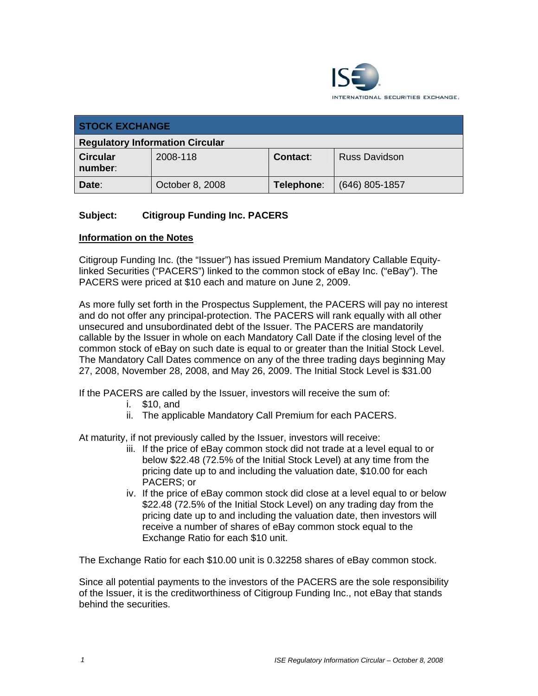

| <b>STOCK EXCHANGE</b>                  |                 |                 |                      |
|----------------------------------------|-----------------|-----------------|----------------------|
| <b>Regulatory Information Circular</b> |                 |                 |                      |
| <b>Circular</b><br>number:             | 2008-118        | <b>Contact:</b> | <b>Russ Davidson</b> |
| Date:                                  | October 8, 2008 | Telephone:      | (646) 805-1857       |

# **Subject: Citigroup Funding Inc. PACERS**

#### **Information on the Notes**

Citigroup Funding Inc. (the "Issuer") has issued Premium Mandatory Callable Equitylinked Securities ("PACERS") linked to the common stock of eBay Inc. ("eBay"). The PACERS were priced at \$10 each and mature on June 2, 2009.

As more fully set forth in the Prospectus Supplement, the PACERS will pay no interest and do not offer any principal-protection. The PACERS will rank equally with all other unsecured and unsubordinated debt of the Issuer. The PACERS are mandatorily callable by the Issuer in whole on each Mandatory Call Date if the closing level of the common stock of eBay on such date is equal to or greater than the Initial Stock Level. The Mandatory Call Dates commence on any of the three trading days beginning May 27, 2008, November 28, 2008, and May 26, 2009. The Initial Stock Level is \$31.00

If the PACERS are called by the Issuer, investors will receive the sum of:

- i. \$10, and
- ii. The applicable Mandatory Call Premium for each PACERS.

At maturity, if not previously called by the Issuer, investors will receive:

- iii. If the price of eBay common stock did not trade at a level equal to or below \$22.48 (72.5% of the Initial Stock Level) at any time from the pricing date up to and including the valuation date, \$10.00 for each PACERS; or
- iv. If the price of eBay common stock did close at a level equal to or below \$22.48 (72.5% of the Initial Stock Level) on any trading day from the pricing date up to and including the valuation date, then investors will receive a number of shares of eBay common stock equal to the Exchange Ratio for each \$10 unit.

The Exchange Ratio for each \$10.00 unit is 0.32258 shares of eBay common stock.

Since all potential payments to the investors of the PACERS are the sole responsibility of the Issuer, it is the creditworthiness of Citigroup Funding Inc., not eBay that stands behind the securities.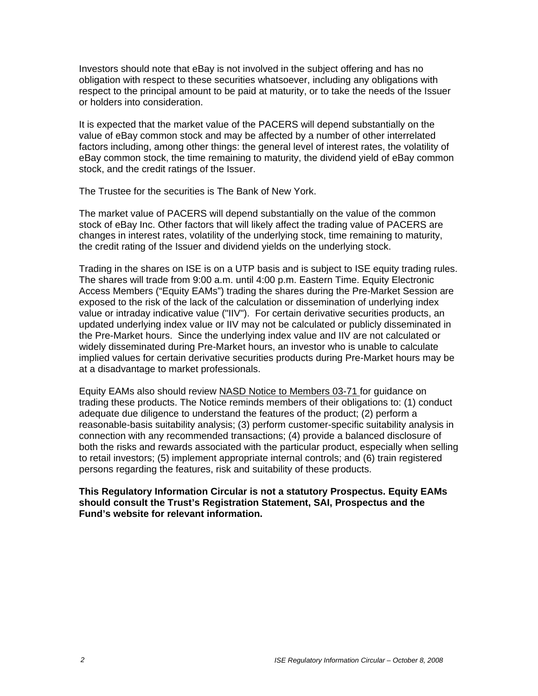Investors should note that eBay is not involved in the subject offering and has no obligation with respect to these securities whatsoever, including any obligations with respect to the principal amount to be paid at maturity, or to take the needs of the Issuer or holders into consideration.

It is expected that the market value of the PACERS will depend substantially on the value of eBay common stock and may be affected by a number of other interrelated factors including, among other things: the general level of interest rates, the volatility of eBay common stock, the time remaining to maturity, the dividend yield of eBay common stock, and the credit ratings of the Issuer.

The Trustee for the securities is The Bank of New York.

The market value of PACERS will depend substantially on the value of the common stock of eBay Inc. Other factors that will likely affect the trading value of PACERS are changes in interest rates, volatility of the underlying stock, time remaining to maturity, the credit rating of the Issuer and dividend yields on the underlying stock.

Trading in the shares on ISE is on a UTP basis and is subject to ISE equity trading rules. The shares will trade from 9:00 a.m. until 4:00 p.m. Eastern Time. Equity Electronic Access Members ("Equity EAMs") trading the shares during the Pre-Market Session are exposed to the risk of the lack of the calculation or dissemination of underlying index value or intraday indicative value ("IIV"). For certain derivative securities products, an updated underlying index value or IIV may not be calculated or publicly disseminated in the Pre-Market hours. Since the underlying index value and IIV are not calculated or widely disseminated during Pre-Market hours, an investor who is unable to calculate implied values for certain derivative securities products during Pre-Market hours may be at a disadvantage to market professionals.

Equity EAMs also should review NASD Notice to Members 03-71 for guidance on trading these products. The Notice reminds members of their obligations to: (1) conduct adequate due diligence to understand the features of the product; (2) perform a reasonable-basis suitability analysis; (3) perform customer-specific suitability analysis in connection with any recommended transactions; (4) provide a balanced disclosure of both the risks and rewards associated with the particular product, especially when selling to retail investors; (5) implement appropriate internal controls; and (6) train registered persons regarding the features, risk and suitability of these products.

#### **This Regulatory Information Circular is not a statutory Prospectus. Equity EAMs should consult the Trust's Registration Statement, SAI, Prospectus and the Fund's website for relevant information.**